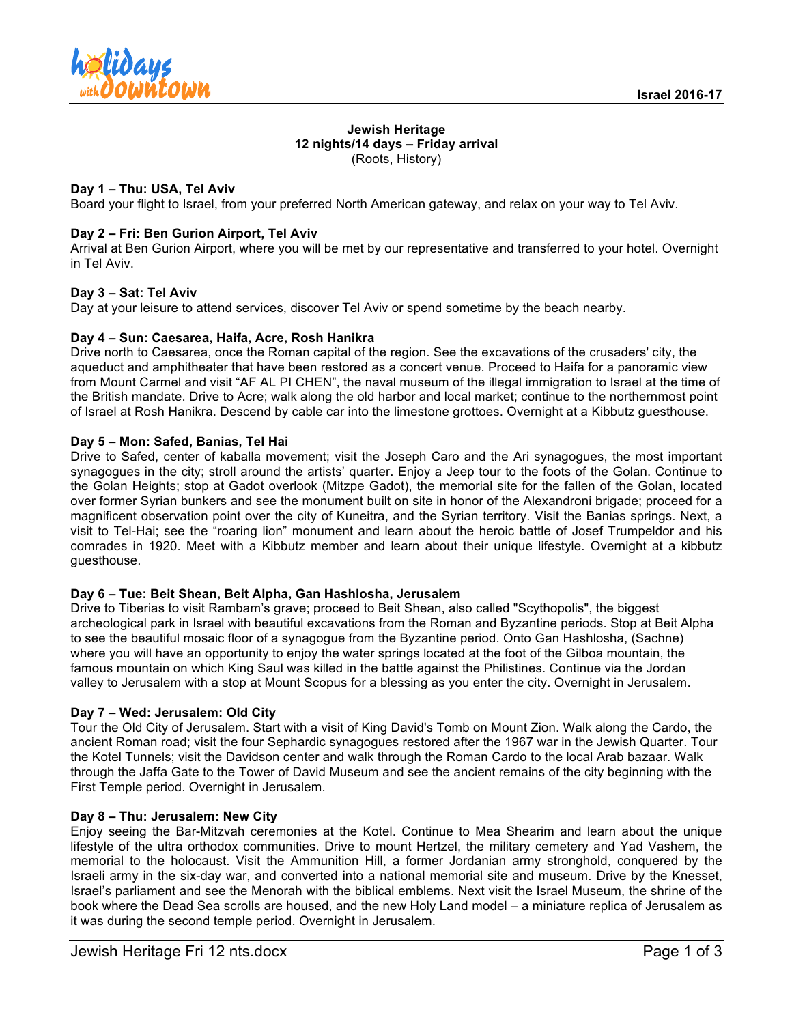

#### **Jewish Heritage 12 nights/14 days – Friday arrival** (Roots, History)

## **Day 1 – Thu: USA, Tel Aviv**

Board your flight to Israel, from your preferred North American gateway, and relax on your way to Tel Aviv.

### **Day 2 – Fri: Ben Gurion Airport, Tel Aviv**

Arrival at Ben Gurion Airport, where you will be met by our representative and transferred to your hotel. Overnight in Tel Aviv.

### **Day 3 – Sat: Tel Aviv**

Day at your leisure to attend services, discover Tel Aviv or spend sometime by the beach nearby.

### **Day 4 – Sun: Caesarea, Haifa, Acre, Rosh Hanikra**

Drive north to Caesarea, once the Roman capital of the region. See the excavations of the crusaders' city, the aqueduct and amphitheater that have been restored as a concert venue. Proceed to Haifa for a panoramic view from Mount Carmel and visit "AF AL PI CHEN", the naval museum of the illegal immigration to Israel at the time of the British mandate. Drive to Acre; walk along the old harbor and local market; continue to the northernmost point of Israel at Rosh Hanikra. Descend by cable car into the limestone grottoes. Overnight at a Kibbutz guesthouse.

## **Day 5 – Mon: Safed, Banias, Tel Hai**

Drive to Safed, center of kaballa movement; visit the Joseph Caro and the Ari synagogues, the most important synagogues in the city; stroll around the artists' quarter. Enjoy a Jeep tour to the foots of the Golan. Continue to the Golan Heights; stop at Gadot overlook (Mitzpe Gadot), the memorial site for the fallen of the Golan, located over former Syrian bunkers and see the monument built on site in honor of the Alexandroni brigade; proceed for a magnificent observation point over the city of Kuneitra, and the Syrian territory. Visit the Banias springs. Next, a visit to Tel-Hai; see the "roaring lion" monument and learn about the heroic battle of Josef Trumpeldor and his comrades in 1920. Meet with a Kibbutz member and learn about their unique lifestyle. Overnight at a kibbutz guesthouse.

### **Day 6 – Tue: Beit Shean, Beit Alpha, Gan Hashlosha, Jerusalem**

Drive to Tiberias to visit Rambam's grave; proceed to Beit Shean, also called "Scythopolis", the biggest archeological park in Israel with beautiful excavations from the Roman and Byzantine periods. Stop at Beit Alpha to see the beautiful mosaic floor of a synagogue from the Byzantine period. Onto Gan Hashlosha, (Sachne) where you will have an opportunity to enjoy the water springs located at the foot of the Gilboa mountain, the famous mountain on which King Saul was killed in the battle against the Philistines. Continue via the Jordan valley to Jerusalem with a stop at Mount Scopus for a blessing as you enter the city. Overnight in Jerusalem.

### **Day 7 – Wed: Jerusalem: Old City**

Tour the Old City of Jerusalem. Start with a visit of King David's Tomb on Mount Zion. Walk along the Cardo, the ancient Roman road; visit the four Sephardic synagogues restored after the 1967 war in the Jewish Quarter. Tour the Kotel Tunnels; visit the Davidson center and walk through the Roman Cardo to the local Arab bazaar. Walk through the Jaffa Gate to the Tower of David Museum and see the ancient remains of the city beginning with the First Temple period. Overnight in Jerusalem.

### **Day 8 – Thu: Jerusalem: New City**

Enjoy seeing the Bar-Mitzvah ceremonies at the Kotel. Continue to Mea Shearim and learn about the unique lifestyle of the ultra orthodox communities. Drive to mount Hertzel, the military cemetery and Yad Vashem, the memorial to the holocaust. Visit the Ammunition Hill, a former Jordanian army stronghold, conquered by the Israeli army in the six-day war, and converted into a national memorial site and museum. Drive by the Knesset, Israel's parliament and see the Menorah with the biblical emblems. Next visit the Israel Museum, the shrine of the book where the Dead Sea scrolls are housed, and the new Holy Land model – a miniature replica of Jerusalem as it was during the second temple period. Overnight in Jerusalem.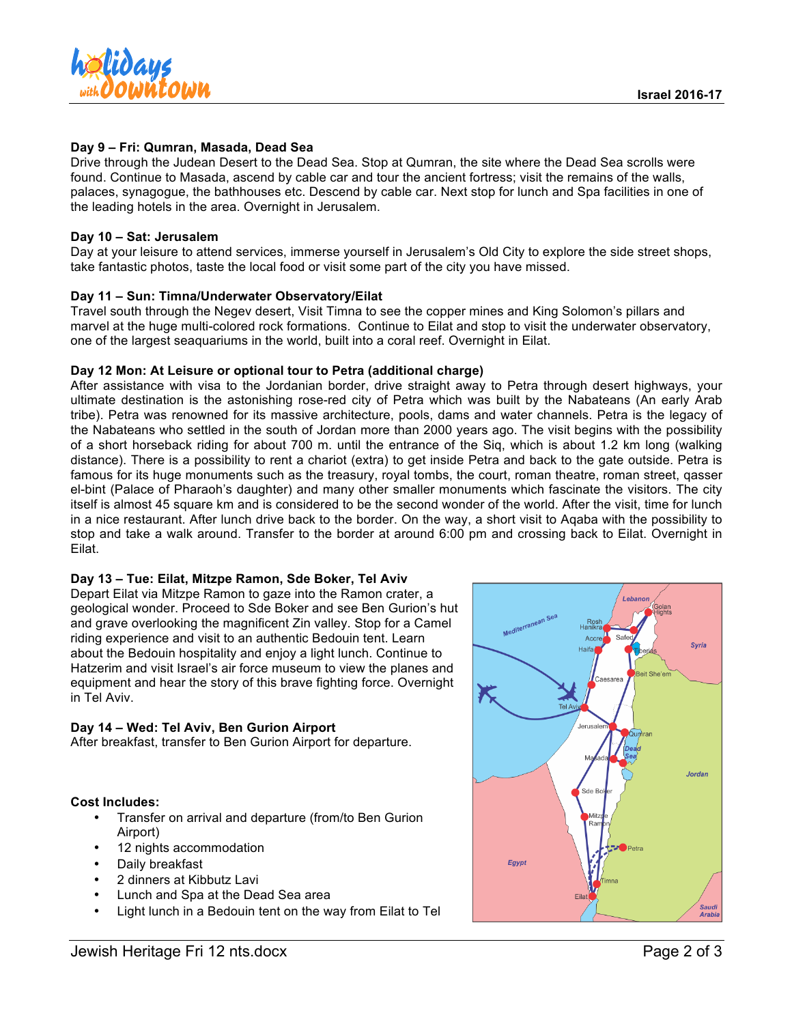

## **Day 9 – Fri: Qumran, Masada, Dead Sea**

Drive through the Judean Desert to the Dead Sea. Stop at Qumran, the site where the Dead Sea scrolls were found. Continue to Masada, ascend by cable car and tour the ancient fortress; visit the remains of the walls, palaces, synagogue, the bathhouses etc. Descend by cable car. Next stop for lunch and Spa facilities in one of the leading hotels in the area. Overnight in Jerusalem.

### **Day 10 – Sat: Jerusalem**

Day at your leisure to attend services, immerse yourself in Jerusalem's Old City to explore the side street shops, take fantastic photos, taste the local food or visit some part of the city you have missed.

## **Day 11 – Sun: Timna/Underwater Observatory/Eilat**

Travel south through the Negev desert, Visit Timna to see the copper mines and King Solomon's pillars and marvel at the huge multi-colored rock formations. Continue to Eilat and stop to visit the underwater observatory, one of the largest seaquariums in the world, built into a coral reef. Overnight in Eilat.

## **Day 12 Mon: At Leisure or optional tour to Petra (additional charge)**

After assistance with visa to the Jordanian border, drive straight away to Petra through desert highways, your ultimate destination is the astonishing rose-red city of Petra which was built by the Nabateans (An early Arab tribe). Petra was renowned for its massive architecture, pools, dams and water channels. Petra is the legacy of the Nabateans who settled in the south of Jordan more than 2000 years ago. The visit begins with the possibility of a short horseback riding for about 700 m. until the entrance of the Siq, which is about 1.2 km long (walking distance). There is a possibility to rent a chariot (extra) to get inside Petra and back to the gate outside. Petra is famous for its huge monuments such as the treasury, royal tombs, the court, roman theatre, roman street, qasser el-bint (Palace of Pharaoh's daughter) and many other smaller monuments which fascinate the visitors. The city itself is almost 45 square km and is considered to be the second wonder of the world. After the visit, time for lunch in a nice restaurant. After lunch drive back to the border. On the way, a short visit to Aqaba with the possibility to stop and take a walk around. Transfer to the border at around 6:00 pm and crossing back to Eilat. Overnight in Eilat.

### **Day 13 – Tue: Eilat, Mitzpe Ramon, Sde Boker, Tel Aviv**

Depart Eilat via Mitzpe Ramon to gaze into the Ramon crater, a geological wonder. Proceed to Sde Boker and see Ben Gurion's hut and grave overlooking the magnificent Zin valley. Stop for a Camel riding experience and visit to an authentic Bedouin tent. Learn about the Bedouin hospitality and enjoy a light lunch. Continue to Hatzerim and visit Israel's air force museum to view the planes and equipment and hear the story of this brave fighting force. Overnight in Tel Aviv.

## **Day 14 – Wed: Tel Aviv, Ben Gurion Airport**

After breakfast, transfer to Ben Gurion Airport for departure.

## **Cost Includes:**

- Transfer on arrival and departure (from/to Ben Gurion Airport)
- 12 nights accommodation
- Daily breakfast
- 2 dinners at Kibbutz Lavi
- Lunch and Spa at the Dead Sea area
- Light lunch in a Bedouin tent on the way from Eilat to Tel